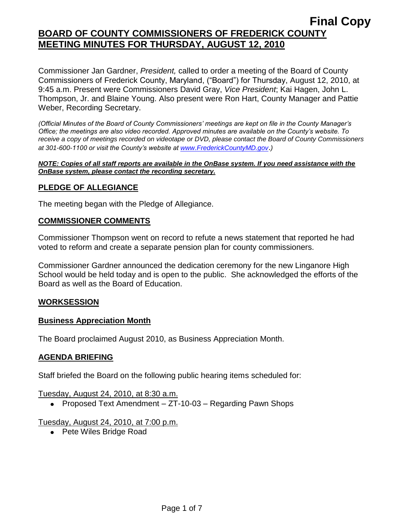Commissioner Jan Gardner, *President,* called to order a meeting of the Board of County Commissioners of Frederick County, Maryland, ("Board") for Thursday, August 12, 2010, at 9:45 a.m. Present were Commissioners David Gray, *Vice President*; Kai Hagen, John L. Thompson, Jr. and Blaine Young. Also present were Ron Hart, County Manager and Pattie Weber, Recording Secretary.

*(Official Minutes of the Board of County Commissioners' meetings are kept on file in the County Manager's Office; the meetings are also video recorded. Approved minutes are available on the County's website. To receive a copy of meetings recorded on videotape or DVD, please contact the Board of County Commissioners at 301-600-1100 or visit the County's website at [www.FrederickCountyMD.gov](http://www.frederickcountymd.gov/)*.*)*

#### *NOTE: Copies of all staff reports are available in the OnBase system. If you need assistance with the OnBase system, please contact the recording secretary.*

## **PLEDGE OF ALLEGIANCE**

The meeting began with the Pledge of Allegiance.

### **COMMISSIONER COMMENTS**

Commissioner Thompson went on record to refute a news statement that reported he had voted to reform and create a separate pension plan for county commissioners.

Commissioner Gardner announced the dedication ceremony for the new Linganore High School would be held today and is open to the public. She acknowledged the efforts of the Board as well as the Board of Education.

#### **WORKSESSION**

#### **Business Appreciation Month**

The Board proclaimed August 2010, as Business Appreciation Month.

## **AGENDA BRIEFING**

Staff briefed the Board on the following public hearing items scheduled for:

Tuesday, August 24, 2010, at 8:30 a.m.

• Proposed Text Amendment – ZT-10-03 – Regarding Pawn Shops

#### Tuesday, August 24, 2010, at 7:00 p.m.

• Pete Wiles Bridge Road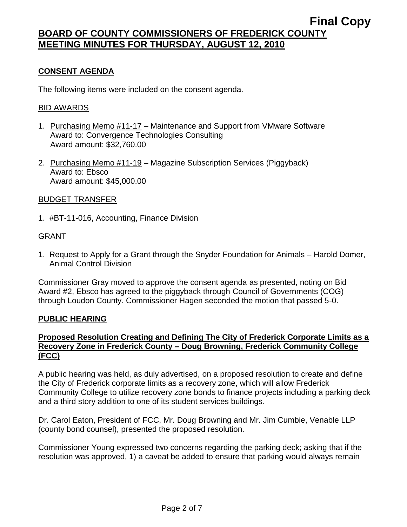## **CONSENT AGENDA**

The following items were included on the consent agenda.

#### BID AWARDS

- 1. Purchasing Memo #11-17 Maintenance and Support from VMware Software Award to: Convergence Technologies Consulting Award amount: \$32,760.00
- 2. Purchasing Memo #11-19 Magazine Subscription Services (Piggyback) Award to: Ebsco Award amount: \$45,000.00

### BUDGET TRANSFER

1. #BT-11-016, Accounting, Finance Division

### GRANT

1. Request to Apply for a Grant through the Snyder Foundation for Animals – Harold Domer, Animal Control Division

Commissioner Gray moved to approve the consent agenda as presented, noting on Bid Award #2, Ebsco has agreed to the piggyback through Council of Governments (COG) through Loudon County. Commissioner Hagen seconded the motion that passed 5-0.

#### **PUBLIC HEARING**

## **Proposed Resolution Creating and Defining The City of Frederick Corporate Limits as a Recovery Zone in Frederick County – Doug Browning, Frederick Community College (FCC)**

A public hearing was held, as duly advertised, on a proposed resolution to create and define the City of Frederick corporate limits as a recovery zone, which will allow Frederick Community College to utilize recovery zone bonds to finance projects including a parking deck and a third story addition to one of its student services buildings.

Dr. Carol Eaton, President of FCC, Mr. Doug Browning and Mr. Jim Cumbie, Venable LLP (county bond counsel), presented the proposed resolution.

Commissioner Young expressed two concerns regarding the parking deck; asking that if the resolution was approved, 1) a caveat be added to ensure that parking would always remain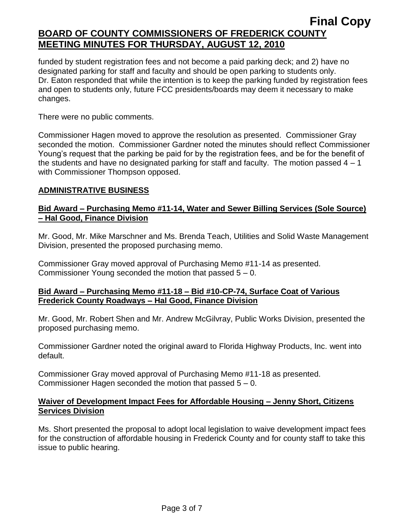funded by student registration fees and not become a paid parking deck; and 2) have no designated parking for staff and faculty and should be open parking to students only. Dr. Eaton responded that while the intention is to keep the parking funded by registration fees and open to students only, future FCC presidents/boards may deem it necessary to make changes.

There were no public comments.

Commissioner Hagen moved to approve the resolution as presented. Commissioner Gray seconded the motion. Commissioner Gardner noted the minutes should reflect Commissioner Young's request that the parking be paid for by the registration fees, and be for the benefit of the students and have no designated parking for staff and faculty. The motion passed  $4 - 1$ with Commissioner Thompson opposed.

## **ADMINISTRATIVE BUSINESS**

## **Bid Award – Purchasing Memo #11-14, Water and Sewer Billing Services (Sole Source) – Hal Good, Finance Division**

Mr. Good, Mr. Mike Marschner and Ms. Brenda Teach, Utilities and Solid Waste Management Division, presented the proposed purchasing memo.

Commissioner Gray moved approval of Purchasing Memo #11-14 as presented. Commissioner Young seconded the motion that passed 5 – 0.

## **Bid Award – Purchasing Memo #11-18 – Bid #10-CP-74, Surface Coat of Various Frederick County Roadways – Hal Good, Finance Division**

Mr. Good, Mr. Robert Shen and Mr. Andrew McGilvray, Public Works Division, presented the proposed purchasing memo.

Commissioner Gardner noted the original award to Florida Highway Products, Inc. went into default.

Commissioner Gray moved approval of Purchasing Memo #11-18 as presented. Commissioner Hagen seconded the motion that passed 5 – 0.

## **Waiver of Development Impact Fees for Affordable Housing – Jenny Short, Citizens Services Division**

Ms. Short presented the proposal to adopt local legislation to waive development impact fees for the construction of affordable housing in Frederick County and for county staff to take this issue to public hearing.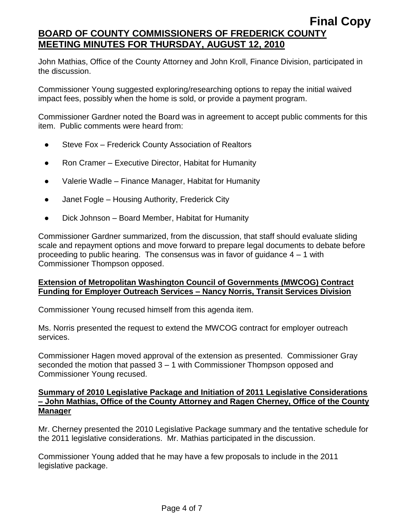John Mathias, Office of the County Attorney and John Kroll, Finance Division, participated in the discussion.

Commissioner Young suggested exploring/researching options to repay the initial waived impact fees, possibly when the home is sold, or provide a payment program.

Commissioner Gardner noted the Board was in agreement to accept public comments for this item. Public comments were heard from:

- Steve Fox Frederick County Association of Realtors
- Ron Cramer Executive Director, Habitat for Humanity
- Valerie Wadle Finance Manager, Habitat for Humanity
- Janet Fogle Housing Authority, Frederick City
- Dick Johnson Board Member, Habitat for Humanity

Commissioner Gardner summarized, from the discussion, that staff should evaluate sliding scale and repayment options and move forward to prepare legal documents to debate before proceeding to public hearing. The consensus was in favor of guidance 4 – 1 with Commissioner Thompson opposed.

## **Extension of Metropolitan Washington Council of Governments (MWCOG) Contract Funding for Employer Outreach Services – Nancy Norris, Transit Services Division**

Commissioner Young recused himself from this agenda item.

Ms. Norris presented the request to extend the MWCOG contract for employer outreach services.

Commissioner Hagen moved approval of the extension as presented. Commissioner Gray seconded the motion that passed 3 – 1 with Commissioner Thompson opposed and Commissioner Young recused.

## **Summary of 2010 Legislative Package and Initiation of 2011 Legislative Considerations – John Mathias, Office of the County Attorney and Ragen Cherney, Office of the County Manager**

Mr. Cherney presented the 2010 Legislative Package summary and the tentative schedule for the 2011 legislative considerations. Mr. Mathias participated in the discussion.

Commissioner Young added that he may have a few proposals to include in the 2011 legislative package.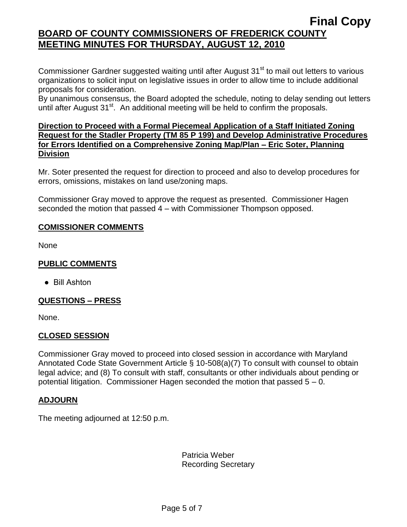Commissioner Gardner suggested waiting until after August 31<sup>st</sup> to mail out letters to various organizations to solicit input on legislative issues in order to allow time to include additional proposals for consideration.

By unanimous consensus, the Board adopted the schedule, noting to delay sending out letters until after August  $31<sup>st</sup>$ . An additional meeting will be held to confirm the proposals.

## **Direction to Proceed with a Formal Piecemeal Application of a Staff Initiated Zoning Request for the Stadler Property (TM 85 P 199) and Develop Administrative Procedures for Errors Identified on a Comprehensive Zoning Map/Plan – Eric Soter, Planning Division**

Mr. Soter presented the request for direction to proceed and also to develop procedures for errors, omissions, mistakes on land use/zoning maps.

Commissioner Gray moved to approve the request as presented. Commissioner Hagen seconded the motion that passed 4 – with Commissioner Thompson opposed.

## **COMISSIONER COMMENTS**

None

## **PUBLIC COMMENTS**

● Bill Ashton

## **QUESTIONS – PRESS**

None.

## **CLOSED SESSION**

Commissioner Gray moved to proceed into closed session in accordance with Maryland Annotated Code State Government Article § 10-508(a)(7) To consult with counsel to obtain legal advice; and (8) To consult with staff, consultants or other individuals about pending or potential litigation. Commissioner Hagen seconded the motion that passed 5 – 0.

## **ADJOURN**

The meeting adjourned at 12:50 p.m.

Patricia Weber Recording Secretary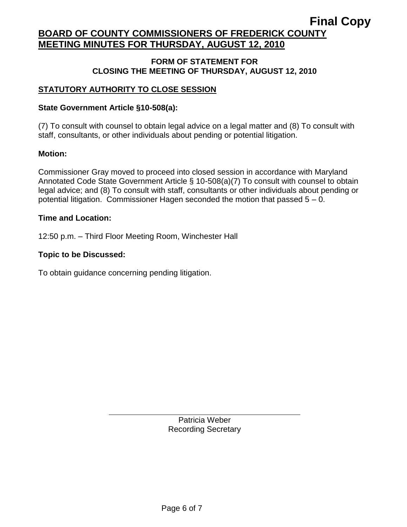# **Final Copy**

# **BOARD OF COUNTY COMMISSIONERS OF FREDERICK COUNTY MEETING MINUTES FOR THURSDAY, AUGUST 12, 2010**

## **FORM OF STATEMENT FOR CLOSING THE MEETING OF THURSDAY, AUGUST 12, 2010**

## **STATUTORY AUTHORITY TO CLOSE SESSION**

## **State Government Article §10-508(a):**

(7) To consult with counsel to obtain legal advice on a legal matter and (8) To consult with staff, consultants, or other individuals about pending or potential litigation.

## **Motion:**

Commissioner Gray moved to proceed into closed session in accordance with Maryland Annotated Code State Government Article § 10-508(a)(7) To consult with counsel to obtain legal advice; and (8) To consult with staff, consultants or other individuals about pending or potential litigation. Commissioner Hagen seconded the motion that passed 5 – 0.

## **Time and Location:**

12:50 p.m. – Third Floor Meeting Room, Winchester Hall

## **Topic to be Discussed:**

To obtain guidance concerning pending litigation.

Patricia Weber Recording Secretary